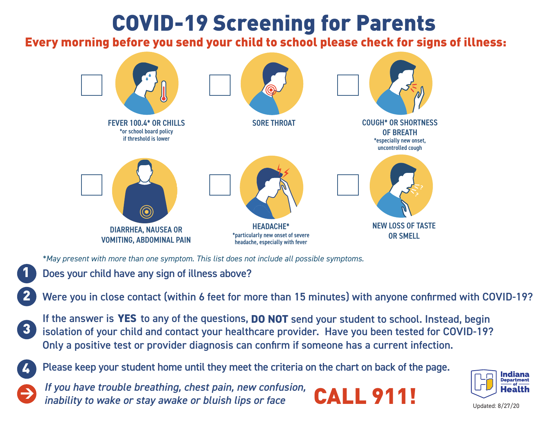## COVID-19 Screening for Parents

## Every morning before you send your child to school please check for signs of illness:



*\*May present with more than one symptom. This list does not include all possible symptoms.*

- Does your child have any sign of illness above?
- Were you in close contact (within 6 feet for more than 15 minutes) with anyone confirmed with COVID-19?
- If the answer is **YES** to any of the questions, **DO NOT** send your student to school. Instead, begin isolation of your child and contact your healthcare provider. Have you been tested for COVID-19? Only a positive test or provider diagnosis can confirm if someone has a current infection.



1

2

3

Please keep your student home until they meet the criteria on the chart on back of the page.

*If you have trouble breathing, chest pain, new confusion, in you have trouble breathing, criest pain, new comasion,*  $CALL 911!$